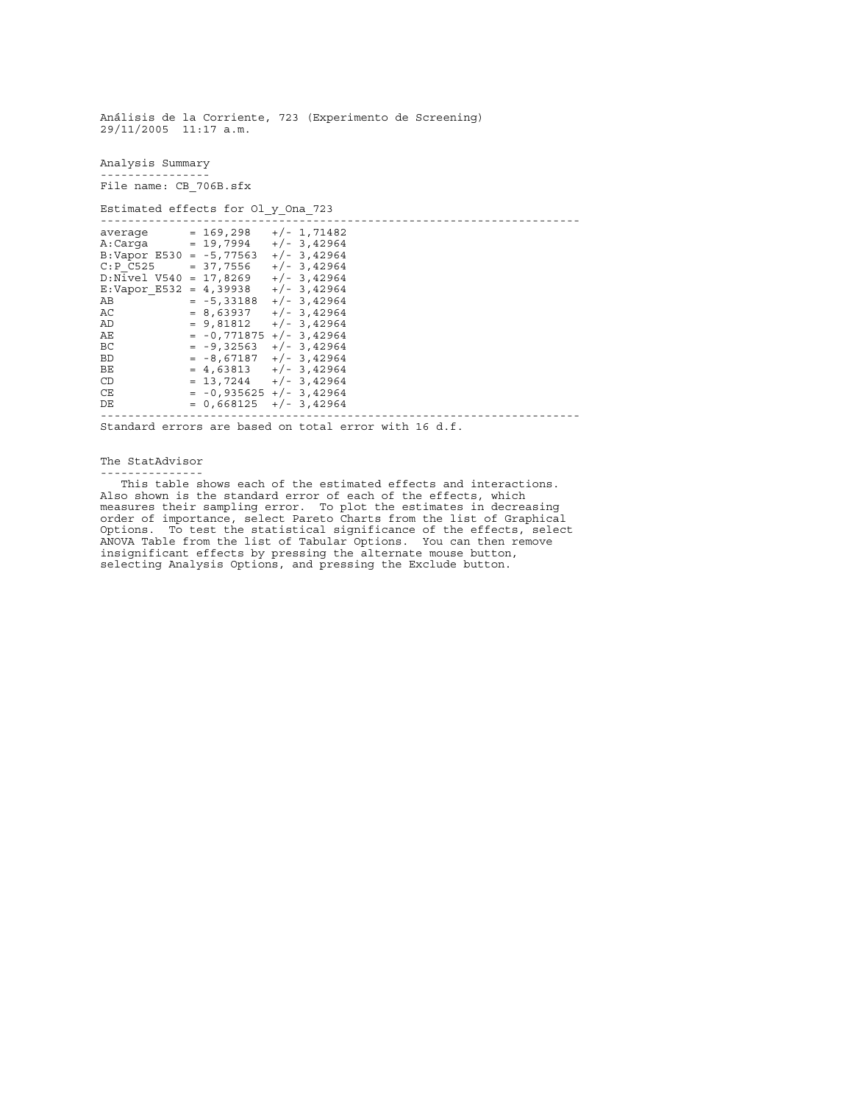Análisis de la Corriente, 723 (Experimento de Screening) 29/11/2005 11:17 a.m. Analysis Summary ---------------- File name: CB\_706B.sfx Estimated effects for Ol y Ona 723 --------------------------------------------------------------------- average = 169,298 +/- 1,71482 A:Carga = 19,7994 +/- 3,42964 B:Vapor E530 =  $-5,77563$  +/- 3,42964  $C: P \ \overline{C525}$  = 37,7556 +/- 3,42964 D:Nivel\_V540 = 17,8269 +/- 3,42964<br>E:Vapor\_E532 = 4,39938 +/- 3,42964 E:Vapor\_E532 = 4,39938<br>AB = -5,33188  $AB$  =  $-5,33188$  +/-3,42964<br>AC = 8,63937 +/-3,42964 AC =  $8,63937$  +/- 3,42964<br>AD =  $9,81812$  +/- 3,42964 AD  $= 9,81812 +/- 3,42964$ <br>AE  $= -0,771875 +/- 3,42964$ AE  $= -0,771875 +/- 3,42964$ <br>BC  $= -9,32563 +/- 3,42964$ BC  $= -9,32563$   $+/- 3,42964$ BD  $= -8,67187$   $+/- 3,42964$  $BE$  = 4,63813 +/- 3,42964<br>  $CD$  = 13.7244 +/- 3,42964 CD  $= 13,7244 +/- 3,42964$  $CE = -0,935625 +/- 3,42964$  $DE = 0,668125 +/- 3,42964$ ---------------------------------------------------------------------- Standard errors are based on total error with 16 d.f.

The StatAdvisor ---------------

 This table shows each of the estimated effects and interactions. Also shown is the standard error of each of the effects, which measures their sampling error. To plot the estimates in decreasing order of importance, select Pareto Charts from the list of Graphical Options. To test the statistical significance of the effects, select ANOVA Table from the list of Tabular Options. You can then remove insignificant effects by pressing the alternate mouse button, selecting Analysis Options, and pressing the Exclude button.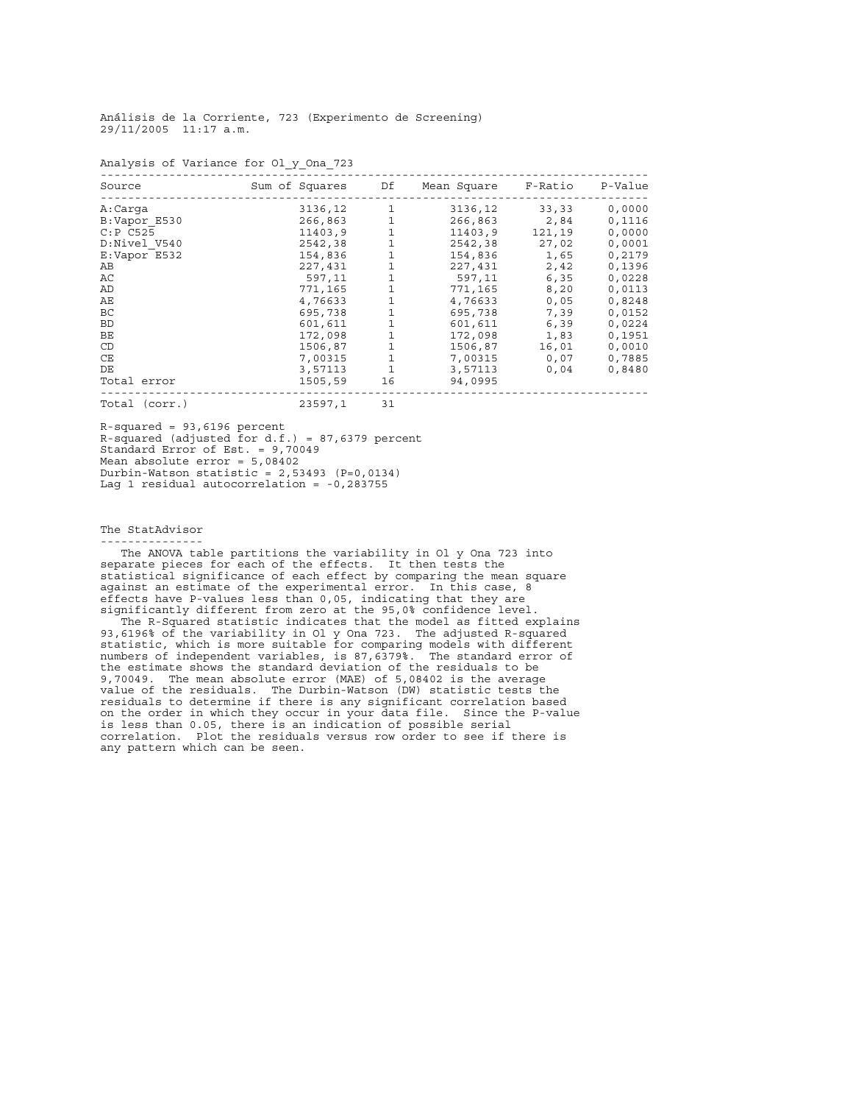Analysis of Variance for Ol\_y\_Ona\_723 -------------------------------------------------------------------------------- Source Sum of Squares Df Mean Square F-Ratio P-Value -------------------------------------------------------------------------------- A:Carga 3136,12 1 3136,12 33,33 0,0000 B:Vapor\_E530 266,863 1 266,863 2,84 0,1116 C:P C525 11403,9 1 11403,9 121,19 0,0000 D:Nivel\_V540 2542,38 1 2542,38 27,02 0,0001 E:Vapor E532 154,836 1 154,836 1,65 0,2179 AB 227,431 1 227,431 2,42 0,1396 AC 597,11 1 597,11 6,35 0,0228 AD 3,20 0,0113 AE 4,76633 1 4,76633 0,05 0,8248 BC 695,738 1 695,738 7,39 0,0152 BD 601,611 1 601,611 6,39 0,0224 BE 172,098 1 172,098 1,83 0,1951 CD 1506,87 1 1506,87 16,01 0,0010 CE 7,00315 1 7,00315 0,07 0,7885 DE 3,57113 1 3,57113 0,04 0,8480 10<br>
Total error 1501,611<br>
BE<br>
ECD 1506,87 1<br>
Total error 1505,59 1,998 1,83 0,0224<br>
CE 7,00315 1<br>
3,57113 1<br>
1506,87 1<br>
3,57113 1<br>
1505,59 16,01<br>
0,04 0,8480<br>
Total error 1505,59 16<br>
1505,59 16,01<br>
2007<br>
2016<br>
2016<br>
2016<br> -------------------------------------------------------------------------------- Total (corr.) 23597,1 31

R-squared = 93,6196 percent R-squared (adjusted for d.f.) = 87,6379 percent Standard Error of Est. = 9,70049 Mean absolute error = 5,08402 Durbin-Watson statistic = 2,53493 (P=0,0134) Lag 1 residual autocorrelation = -0,283755

The StatAdvisor

--------------- The ANOVA table partitions the variability in Ol\_y\_Ona\_723 into separate pieces for each of the effects. It then tests the statistical significance of each effect by comparing the mean square against an estimate of the experimental error. In this case, 8 effects have P-values less than 0,05, indicating that they are significantly different from zero at the 95,0% confidence level.

 The R-Squared statistic indicates that the model as fitted explains 93,6196% of the variability in Ol\_y\_Ona\_723. The adjusted R-squared statistic, which is more suitable for comparing models with different numbers of independent variables, is 87,6379%. The standard error of the estimate shows the standard deviation of the residuals to be 9,70049. The mean absolute error (MAE) of 5,08402 is the average value of the residuals. The Durbin-Watson (DW) statistic tests the residuals to determine if there is any significant correlation based on the order in which they occur in your data file. Since the P-value is less than 0.05, there is an indication of possible serial correlation. Plot the residuals versus row order to see if there is any pattern which can be seen.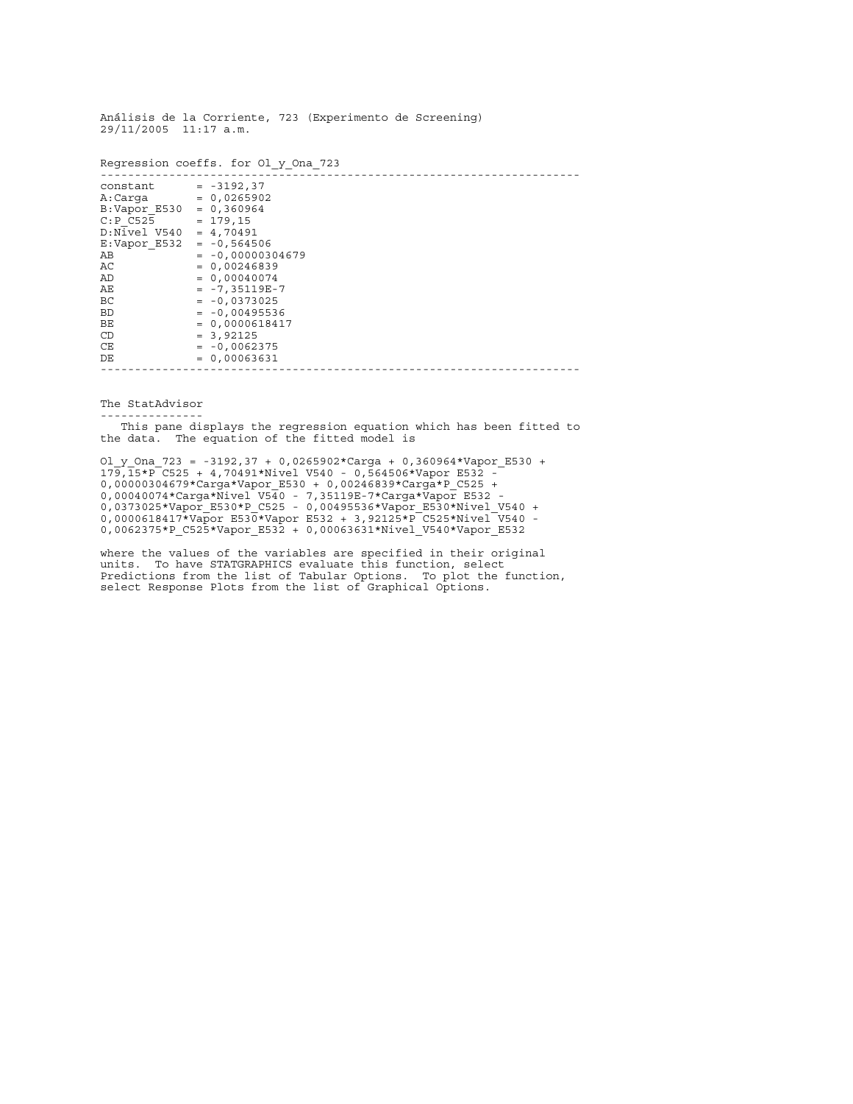|                                                                                                                                                                                                        | Regression coeffs. for Ol y Ona 723                                                                                                                                                                                                    |
|--------------------------------------------------------------------------------------------------------------------------------------------------------------------------------------------------------|----------------------------------------------------------------------------------------------------------------------------------------------------------------------------------------------------------------------------------------|
| constant<br>A:Carqa<br>$B:$ Vapor E530 = 0,360964<br>C: P <sub>C525</sub><br>$D:Nivel$ V540 = 4,70491<br>E:Vapor E532 = $-0,564506$<br>AВ<br>AC<br>AD<br>AЕ<br>BC<br><b>BD</b><br>BE<br>CD<br>CE<br>DE | $= -3192, 37$<br>$= 0,0265902$<br>$= 179, 15$<br>$= -0,00000304679$<br>$= 0,00246839$<br>$= 0,00040074$<br>$= -7,35119E-7$<br>$= -0,0373025$<br>$= -0,00495536$<br>$= 0,0000618417$<br>$= 3,92125$<br>$= -0,0062375$<br>$= 0,00063631$ |
|                                                                                                                                                                                                        |                                                                                                                                                                                                                                        |

The StatAdvisor

---------------

 This pane displays the regression equation which has been fitted to the data. The equation of the fitted model is

Ol\_y\_Ona\_723 = -3192,37 + 0,0265902\*Carga + 0,360964\*Vapor\_E530 + 179,15\*P\_C525 + 4,70491\*Nivel\_V540 - 0,564506\*Vapor\_E532 - 0,00000304679\*Carga\*Vapor\_E530 + 0,00246839\*Carga\*P\_C525 + 0,00040074\*Carga\*Nivel\_V540 - 7,35119E-7\*Carga\*Vapor\_E532 - 0,0373025\*Vapor\_E530\*P\_C525 - 0,00495536\*Vapor\_E530\*Nivel\_V540 + 0,0000618417\*Vapor\_E530\*Vapor\_E532 + 3,92125\*P\_C525\*Nivel\_V540 -0,0062375\*P\_C525\*Vapor\_E532 + 0,00063631\*Nivel\_V540\*Vapor\_E532

where the values of the variables are specified in their original units. To have STATGRAPHICS evaluate this function, select Predictions from the list of Tabular Options. To plot the function, select Response Plots from the list of Graphical Options.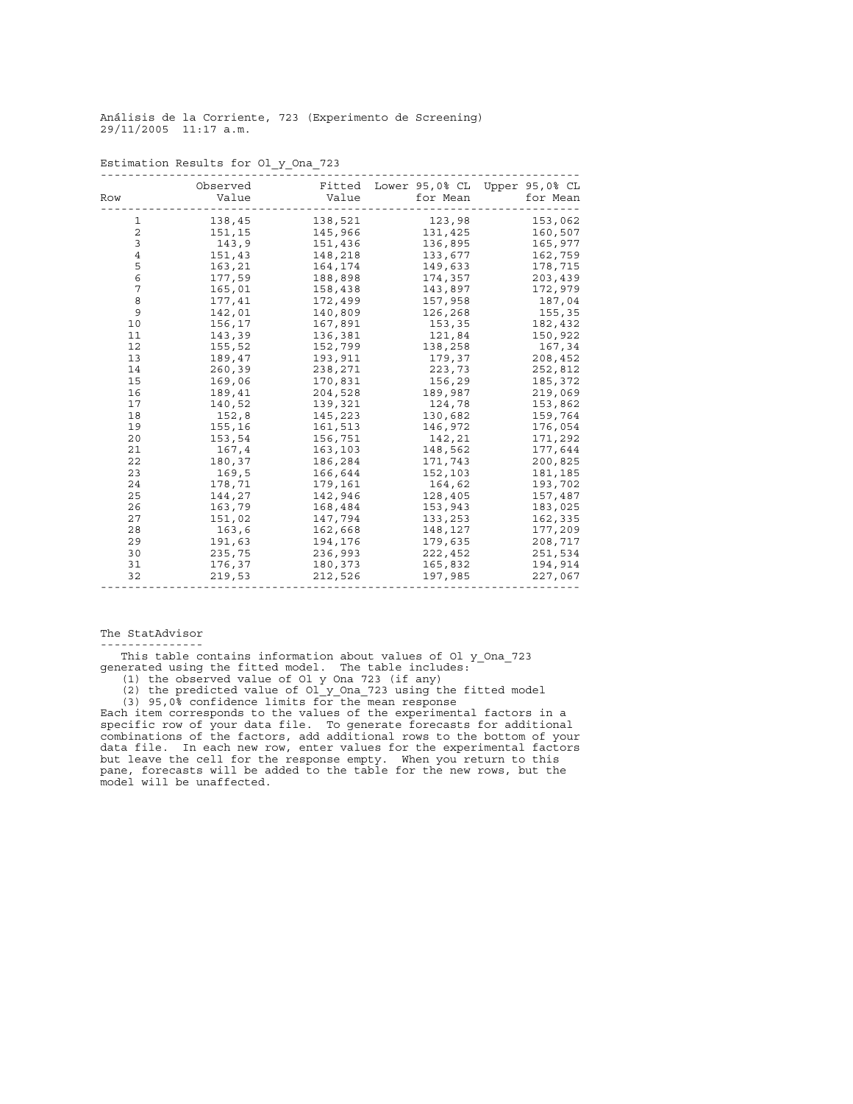| Row            | Observed<br>Value | Fitted<br>Value | Lower 95,0% CL Upper 95,0% CL<br>for Mean | for Mean |
|----------------|-------------------|-----------------|-------------------------------------------|----------|
| 1              | 138,45            | 138,521         | 123,98                                    | 153,062  |
| $\overline{2}$ | 151,15            | 145,966         | 131,425                                   | 160,507  |
| 3              | 143,9             | 151,436         | 136,895                                   | 165,977  |
| $\bf 4$        | 151,43            | 148,218         | 133,677                                   | 162,759  |
| 5              | 163,21            | 164,174         | 149,633                                   | 178,715  |
| 6              | 177,59            | 188,898         | 174,357                                   | 203,439  |
| 7              | 165,01            | 158,438         | 143,897                                   | 172,979  |
| 8              | 177,41            | 172,499         | 157,958                                   | 187,04   |
| 9              | 142,01            | 140,809         | 126,268                                   | 155,35   |
| 10             | 156,17            | 167,891         | 153,35                                    | 182,432  |
| 11             | 143,39            | 136,381         | 121,84                                    | 150,922  |
| 12             | 155,52            | 152,799         | 138,258                                   | 167,34   |
| 13             | 189,47            | 193,911         | 179,37                                    | 208,452  |
| 14             | 260,39            | 238,271         | 223,73                                    | 252,812  |
| 15             | 169,06            | 170,831         | 156,29                                    | 185,372  |
| 16             | 189,41            | 204,528         | 189,987                                   | 219,069  |
| 17             | 140,52            | 139,321         | 124,78                                    | 153,862  |
| 18             | 152,8             | 145,223         | 130,682                                   | 159,764  |
| 19             | 155,16            | 161,513         | 146,972                                   | 176,054  |
| 20             | 153,54            | 156,751         | 142,21                                    | 171,292  |
| 21             | 167,4             | 163,103         | 148,562                                   | 177,644  |
| 22             | 180,37            | 186,284         | 171,743                                   | 200,825  |
| 23             | 169,5             | 166,644         | 152,103                                   | 181,185  |
| 24             | 178,71            | 179,161         | 164,62                                    | 193,702  |
| 25             | 144,27            | 142,946         | 128,405                                   | 157,487  |
| 26             | 163,79            | 168,484         | 153,943                                   | 183,025  |
| 27             | 151,02            | 147,794         | 133,253                                   | 162,335  |
| 28             | 163,6             | 162,668         | 148,127                                   | 177,209  |
| 29             | 191,63            | 194,176         | 179,635                                   | 208,717  |
| 30             | 235,75            | 236,993         | 222,452                                   | 251,534  |
| 31             | 176,37            | 180,373         | 165,832                                   | 194,914  |
| 32             | 219,53            | 212,526         | 197,985                                   | 227,067  |
|                |                   |                 |                                           |          |

Estimation Results for Ol\_y\_Ona\_723

## The StatAdvisor

---------------

 This table contains information about values of Ol\_y\_Ona\_723 generated using the fitted model. The table includes: (1) the observed value of Ol\_y\_Ona\_723 (if any)

 (2) the predicted value of Ol\_y\_Ona\_723 using the fitted model (3) 95,0% confidence limits for the mean response

Each item corresponds to the values of the experimental factors in a specific row of your data file. To generate forecasts for additional combinations of the factors, add additional rows to the bottom of your data file. In each new row, enter values for the experimental factors but leave the cell for the response empty. When you return to this pane, forecasts will be added to the table for the new rows, but the model will be unaffected.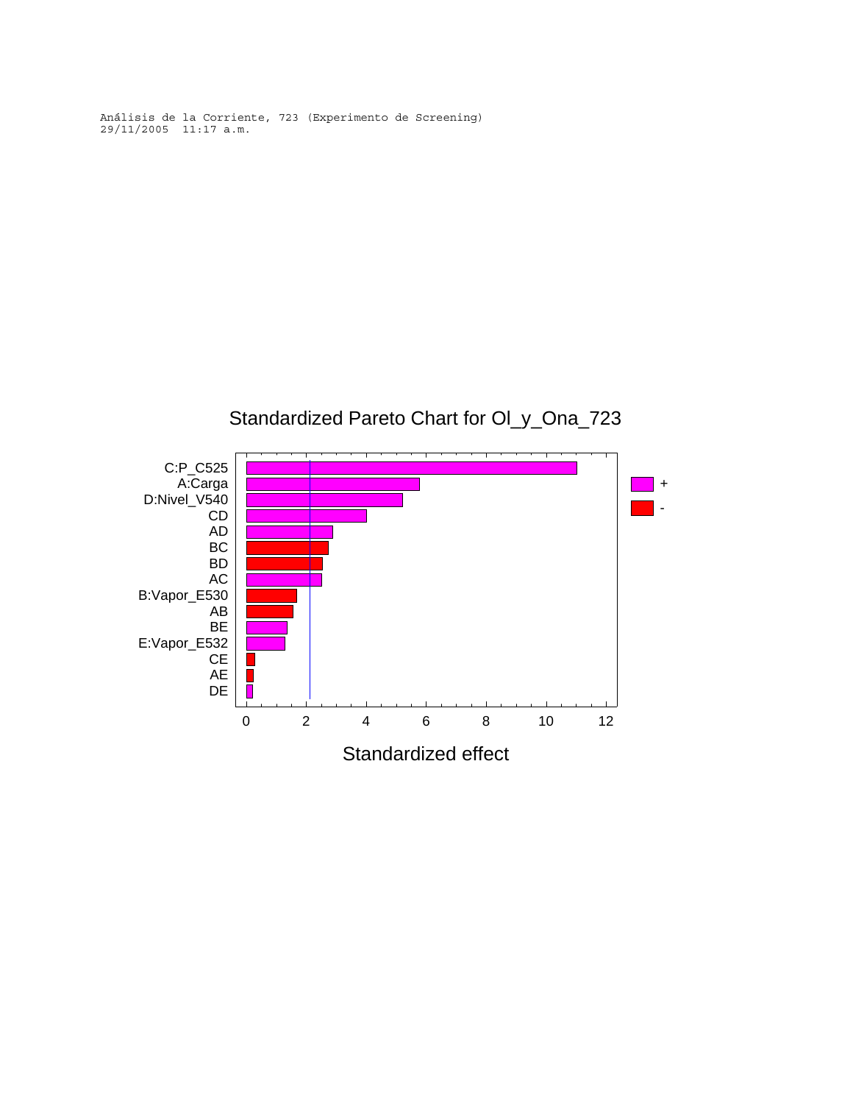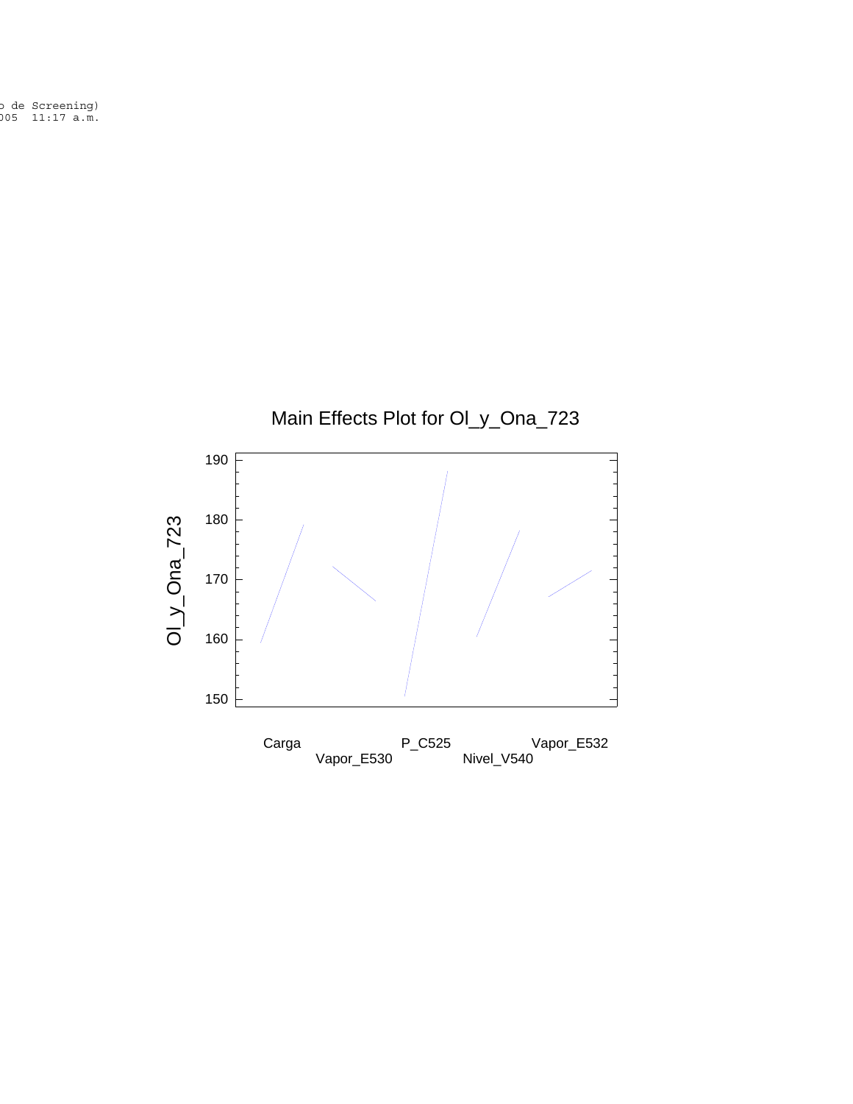o de Screening) 005 11:17 a.m.

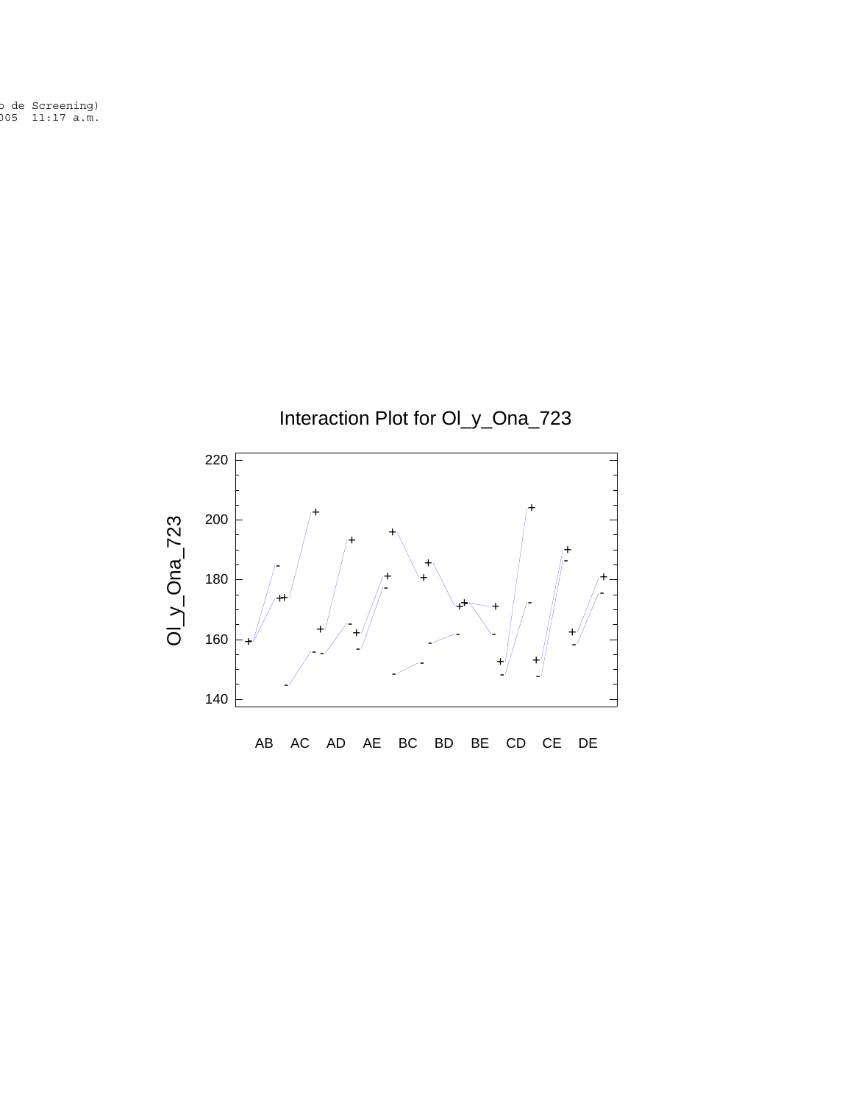o de Screening) 005 11:17 a.m.

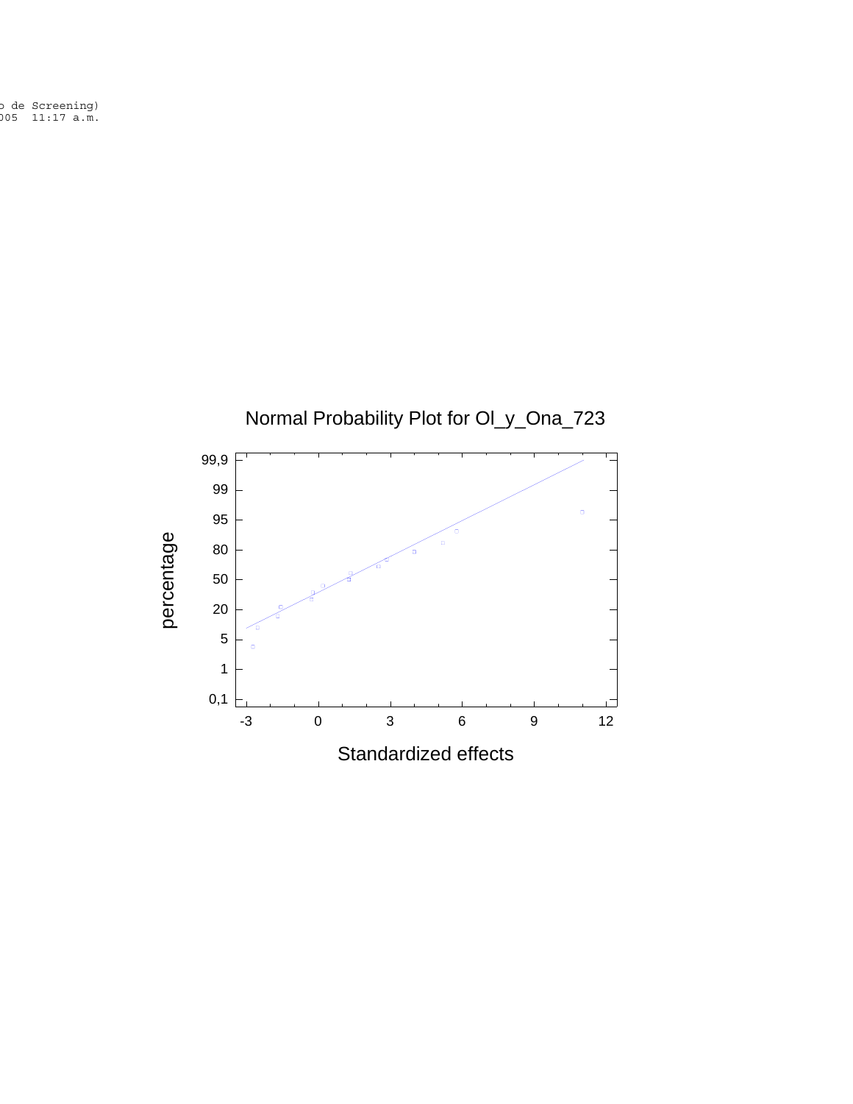o de Screening)<br>005 11:17 a.m.